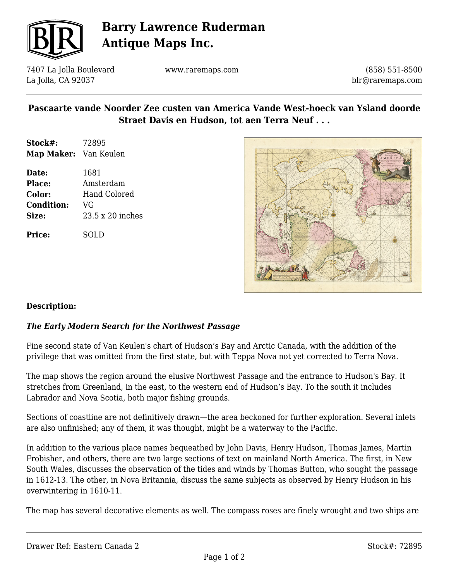

# **Barry Lawrence Ruderman Antique Maps Inc.**

7407 La Jolla Boulevard La Jolla, CA 92037

www.raremaps.com

(858) 551-8500 blr@raremaps.com

# **Pascaarte vande Noorder Zee custen van America Vande West-hoeck van Ysland doorde Straet Davis en Hudson, tot aen Terra Neuf . . .**

- **Stock#:** 72895 **Map Maker:** Van Keulen
- **Date:** 1681 **Place:** Amsterdam **Color:** Hand Colored **Condition:** VG **Size:** 23.5 x 20 inches

**Price:** SOLD



### **Description:**

### *The Early Modern Search for the Northwest Passage*

Fine second state of Van Keulen's chart of Hudson's Bay and Arctic Canada, with the addition of the privilege that was omitted from the first state, but with Teppa Nova not yet corrected to Terra Nova.

The map shows the region around the elusive Northwest Passage and the entrance to Hudson's Bay. It stretches from Greenland, in the east, to the western end of Hudson's Bay. To the south it includes Labrador and Nova Scotia, both major fishing grounds.

Sections of coastline are not definitively drawn—the area beckoned for further exploration. Several inlets are also unfinished; any of them, it was thought, might be a waterway to the Pacific.

In addition to the various place names bequeathed by John Davis, Henry Hudson, Thomas James, Martin Frobisher, and others, there are two large sections of text on mainland North America. The first, in New South Wales, discusses the observation of the tides and winds by Thomas Button, who sought the passage in 1612-13. The other, in Nova Britannia, discuss the same subjects as observed by Henry Hudson in his overwintering in 1610-11.

The map has several decorative elements as well. The compass roses are finely wrought and two ships are